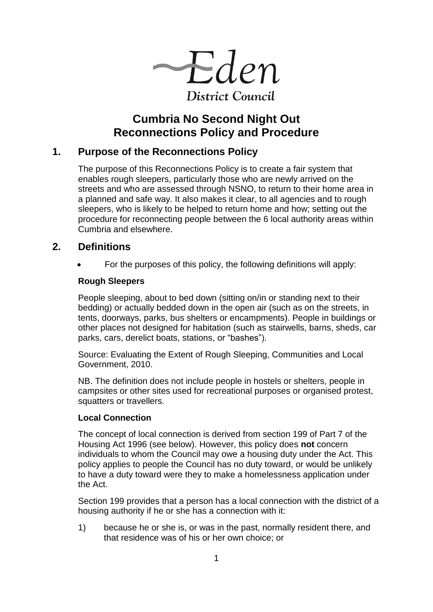$-\text{Eden}$ **District Council** 

# **Cumbria No Second Night Out Reconnections Policy and Procedure**

# **1. Purpose of the Reconnections Policy**

The purpose of this Reconnections Policy is to create a fair system that enables rough sleepers, particularly those who are newly arrived on the streets and who are assessed through NSNO, to return to their home area in a planned and safe way. It also makes it clear, to all agencies and to rough sleepers, who is likely to be helped to return home and how; setting out the procedure for reconnecting people between the 6 local authority areas within Cumbria and elsewhere.

# **2. Definitions**

For the purposes of this policy, the following definitions will apply:

### **Rough Sleepers**

People sleeping, about to bed down (sitting on/in or standing next to their bedding) or actually bedded down in the open air (such as on the streets, in tents, doorways, parks, bus shelters or encampments). People in buildings or other places not designed for habitation (such as stairwells, barns, sheds, car parks, cars, derelict boats, stations, or "bashes").

Source: Evaluating the Extent of Rough Sleeping, Communities and Local Government, 2010.

NB. The definition does not include people in hostels or shelters, people in campsites or other sites used for recreational purposes or organised protest, squatters or travellers.

#### **Local Connection**

The concept of local connection is derived from section 199 of Part 7 of the Housing Act 1996 (see below). However, this policy does **not** concern individuals to whom the Council may owe a housing duty under the Act. This policy applies to people the Council has no duty toward, or would be unlikely to have a duty toward were they to make a homelessness application under the Act.

Section 199 provides that a person has a local connection with the district of a housing authority if he or she has a connection with it:

1) because he or she is, or was in the past, normally resident there, and that residence was of his or her own choice; or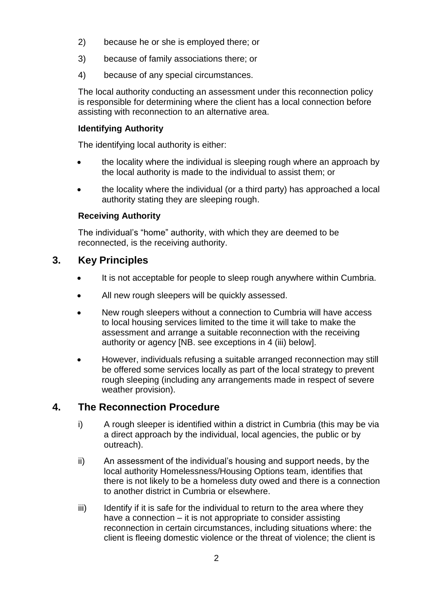- 2) because he or she is employed there; or
- 3) because of family associations there; or
- 4) because of any special circumstances.

The local authority conducting an assessment under this reconnection policy is responsible for determining where the client has a local connection before assisting with reconnection to an alternative area.

#### **Identifying Authority**

The identifying local authority is either:

- the locality where the individual is sleeping rough where an approach by the local authority is made to the individual to assist them; or
- the locality where the individual (or a third party) has approached a local authority stating they are sleeping rough.

#### **Receiving Authority**

The individual's "home" authority, with which they are deemed to be reconnected, is the receiving authority.

## **3. Key Principles**

- It is not acceptable for people to sleep rough anywhere within Cumbria.
- All new rough sleepers will be quickly assessed.
- New rough sleepers without a connection to Cumbria will have access to local housing services limited to the time it will take to make the assessment and arrange a suitable reconnection with the receiving authority or agency [NB. see exceptions in 4 (iii) below].
- However, individuals refusing a suitable arranged reconnection may still be offered some services locally as part of the local strategy to prevent rough sleeping (including any arrangements made in respect of severe weather provision).

## **4. The Reconnection Procedure**

- i) A rough sleeper is identified within a district in Cumbria (this may be via a direct approach by the individual, local agencies, the public or by outreach).
- ii) An assessment of the individual's housing and support needs, by the local authority Homelessness/Housing Options team, identifies that there is not likely to be a homeless duty owed and there is a connection to another district in Cumbria or elsewhere.
- $\delta$  Identify if it is safe for the individual to return to the area where they have a connection – it is not appropriate to consider assisting reconnection in certain circumstances, including situations where: the client is fleeing domestic violence or the threat of violence; the client is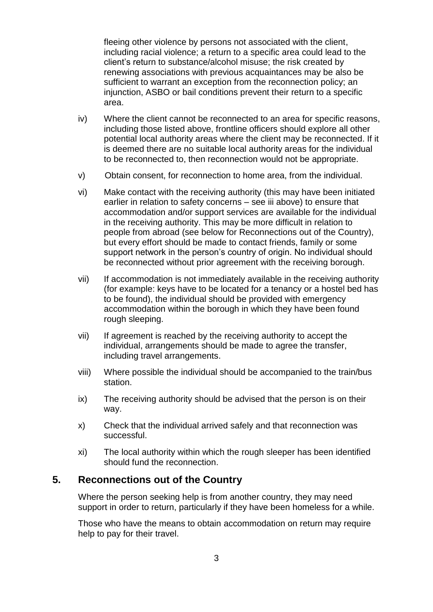fleeing other violence by persons not associated with the client, including racial violence; a return to a specific area could lead to the client's return to substance/alcohol misuse; the risk created by renewing associations with previous acquaintances may be also be sufficient to warrant an exception from the reconnection policy; an injunction, ASBO or bail conditions prevent their return to a specific area.

- iv) Where the client cannot be reconnected to an area for specific reasons, including those listed above, frontline officers should explore all other potential local authority areas where the client may be reconnected. If it is deemed there are no suitable local authority areas for the individual to be reconnected to, then reconnection would not be appropriate.
- v) Obtain consent, for reconnection to home area, from the individual.
- vi) Make contact with the receiving authority (this may have been initiated earlier in relation to safety concerns – see iii above) to ensure that accommodation and/or support services are available for the individual in the receiving authority. This may be more difficult in relation to people from abroad (see below for Reconnections out of the Country), but every effort should be made to contact friends, family or some support network in the person's country of origin. No individual should be reconnected without prior agreement with the receiving borough.
- vii) If accommodation is not immediately available in the receiving authority (for example: keys have to be located for a tenancy or a hostel bed has to be found), the individual should be provided with emergency accommodation within the borough in which they have been found rough sleeping.
- vii) If agreement is reached by the receiving authority to accept the individual, arrangements should be made to agree the transfer, including travel arrangements.
- viii) Where possible the individual should be accompanied to the train/bus station.
- ix) The receiving authority should be advised that the person is on their way.
- x) Check that the individual arrived safely and that reconnection was successful.
- xi) The local authority within which the rough sleeper has been identified should fund the reconnection.

# **5. Reconnections out of the Country**

Where the person seeking help is from another country, they may need support in order to return, particularly if they have been homeless for a while.

Those who have the means to obtain accommodation on return may require help to pay for their travel.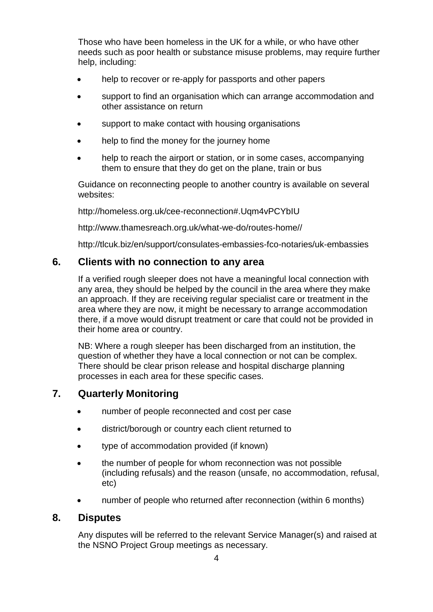Those who have been homeless in the UK for a while, or who have other needs such as poor health or substance misuse problems, may require further help, including:

- help to recover or re-apply for passports and other papers
- support to find an organisation which can arrange accommodation and other assistance on return
- support to make contact with housing organisations
- help to find the money for the journey home
- help to reach the airport or station, or in some cases, accompanying them to ensure that they do get on the plane, train or bus

Guidance on reconnecting people to another country is available on several websites:

http://homeless.org.uk/cee-reconnection#.Uqm4vPCYbIU

http://www.thamesreach.org.uk/what-we-do/routes-home//

http://tlcuk.biz/en/support/consulates-embassies-fco-notaries/uk-embassies

### **6. Clients with no connection to any area**

If a verified rough sleeper does not have a meaningful local connection with any area, they should be helped by the council in the area where they make an approach. If they are receiving regular specialist care or treatment in the area where they are now, it might be necessary to arrange accommodation there, if a move would disrupt treatment or care that could not be provided in their home area or country.

NB: Where a rough sleeper has been discharged from an institution, the question of whether they have a local connection or not can be complex. There should be clear prison release and hospital discharge planning processes in each area for these specific cases.

# **7. Quarterly Monitoring**

- number of people reconnected and cost per case
- district/borough or country each client returned to
- type of accommodation provided (if known)
- the number of people for whom reconnection was not possible (including refusals) and the reason (unsafe, no accommodation, refusal, etc)
- number of people who returned after reconnection (within 6 months)

#### **8. Disputes**

Any disputes will be referred to the relevant Service Manager(s) and raised at the NSNO Project Group meetings as necessary.